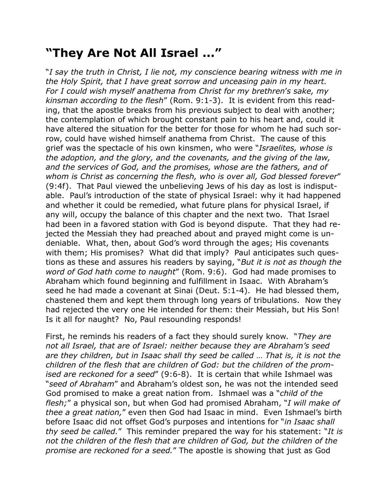## **"They Are Not All Israel ..."**

"*I say the truth in Christ, I lie not, my conscience bearing witness with me in the Holy Spirit, that I have great sorrow and unceasing pain in my heart. For I could wish myself anathema from Christ for my brethren*'*s sake, my kinsman according to the flesh*" (Rom. 9:1-3). It is evident from this reading, that the apostle breaks from his previous subject to deal with another; the contemplation of which brought constant pain to his heart and, could it have altered the situation for the better for those for whom he had such sorrow, could have wished himself anathema from Christ. The cause of this grief was the spectacle of his own kinsmen, who were "*Israelites, whose is the adoption, and the glory, and the covenants, and the giving of the law, and the services of God, and the promises, whose are the fathers, and of whom is Christ as concerning the flesh, who is over all, God blessed forever*" (9:4f). That Paul viewed the unbelieving Jews of his day as lost is indisputable. Paul's introduction of the state of physical Israel: why it had happened and whether it could be remedied, what future plans for physical Israel, if any will, occupy the balance of this chapter and the next two. That Israel had been in a favored station with God is beyond dispute. That they had rejected the Messiah they had preached about and prayed might come is undeniable. What, then, about God's word through the ages; His covenants with them; His promises? What did that imply? Paul anticipates such questions as these and assures his readers by saying, "*But it is not as though the word of God hath come to naught*" (Rom. 9:6). God had made promises to Abraham which found beginning and fulfillment in Isaac. With Abraham's seed he had made a covenant at Sinai (Deut. 5:1-4). He had blessed them, chastened them and kept them through long years of tribulations. Now they had rejected the very one He intended for them: their Messiah, but His Son! Is it all for naught? No, Paul resounding responds!

First, he reminds his readers of a fact they should surely know. "*They are not all Israel, that are of Israel: neither because they are Abraham's seed are they children, but in Isaac shall thy seed be called* … *That is, it is not the children of the flesh that are children of God: but the children of the promised are reckoned for a seed*" (9:6-8). It is certain that while Ishmael was "*seed of Abraham*" and Abraham's oldest son, he was not the intended seed God promised to make a great nation from. Ishmael was a "*child of the flesh;*" a physical son, but when God had promised Abraham, "*I will make of thee a great nation,*" even then God had Isaac in mind. Even Ishmael's birth before Isaac did not offset God's purposes and intentions for "*in Isaac shall thy seed be called.*" This reminder prepared the way for his statement: "*It is not the children of the flesh that are children of God, but the children of the promise are reckoned for a seed.*" The apostle is showing that just as God